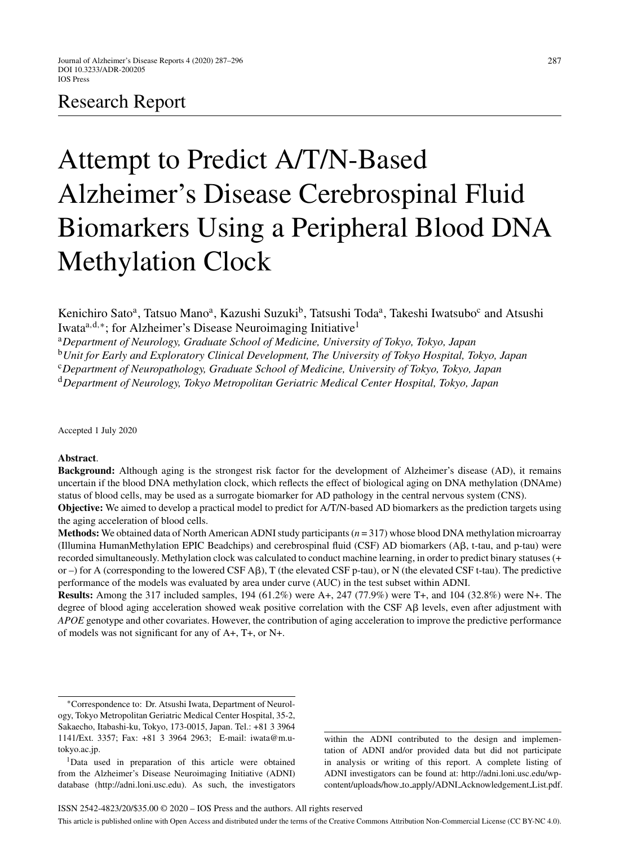# Research Report

# Attempt to Predict A/T/N-Based Alzheimer's Disease Cerebrospinal Fluid Biomarkers Using a Peripheral Blood DNA Methylation Clock

Kenichiro Sato<sup>a</sup>, Tatsuo Mano<sup>a</sup>, Kazushi Suzuki<sup>b</sup>, Tatsushi Toda<sup>a</sup>, Takeshi Iwatsubo<sup>c</sup> and Atsushi Iwata<sup>a, d,∗</sup>; for Alzheimer's Disease Neuroimaging Initiative<sup>1</sup>

<sup>a</sup>*Department of Neurology, Graduate School of Medicine, University of Tokyo, Tokyo, Japan*

<sup>b</sup>*Unit for Early and Exploratory Clinical Development, The University of Tokyo Hospital, Tokyo, Japan*

<sup>c</sup>*Department of Neuropathology, Graduate School of Medicine, University of Tokyo, Tokyo, Japan*

<sup>d</sup>*Department of Neurology, Tokyo Metropolitan Geriatric Medical Center Hospital, Tokyo, Japan*

Accepted 1 July 2020

#### **Abstract**.

**Background:** Although aging is the strongest risk factor for the development of Alzheimer's disease (AD), it remains uncertain if the blood DNA methylation clock, which reflects the effect of biological aging on DNA methylation (DNAme) status of blood cells, may be used as a surrogate biomarker for AD pathology in the central nervous system (CNS).

**Objective:** We aimed to develop a practical model to predict for A/T/N-based AD biomarkers as the prediction targets using the aging acceleration of blood cells.

**Methods:** We obtained data of North American ADNI study participants (*n* = 317) whose blood DNA methylation microarray (Illumina HumanMethylation EPIC Beadchips) and cerebrospinal fluid (CSF) AD biomarkers (Aß, t-tau, and p-tau) were recorded simultaneously. Methylation clock was calculated to conduct machine learning, in order to predict binary statuses (+ or –) for A (corresponding to the lowered CSF A $\beta$ ), T (the elevated CSF p-tau), or N (the elevated CSF t-tau). The predictive performance of the models was evaluated by area under curve (AUC) in the test subset within ADNI.

**Results:** Among the 317 included samples, 194 (61.2%) were A+, 247 (77.9%) were T+, and 104 (32.8%) were N+. The degree of blood aging acceleration showed weak positive correlation with the CSF  $\beta$  levels, even after adjustment with *APOE* genotype and other covariates. However, the contribution of aging acceleration to improve the predictive performance of models was not significant for any of A+, T+, or N+.

within the ADNI contributed to the design and implementation of ADNI and/or provided data but did not participate in analysis or writing of this report. A complete listing of ADNI investigators can be found at: [http://adni.loni.usc.edu/wp](http://adni.loni.usc.edu/wp-content/uploads/how_to_apply/ADNI_Acknowledgement_List.pdf)content/uploads/how to apply/ADNI Acknowledgement List.pdf.

<sup>∗</sup>Correspondence to: Dr. Atsushi Iwata, Department of Neurology, Tokyo Metropolitan Geriatric Medical Center Hospital, 35-2, Sakaecho, Itabashi-ku, Tokyo, 173-0015, Japan. Tel.: +81 3 3964 1141/Ext. 3357; Fax: +81 3 3964 2963; E-mail: [iwata@m.u](mailto:iwata@m.u-tokyo.ac.jp)tokyo.ac.jp.

<sup>&</sup>lt;sup>1</sup>Data used in preparation of this article were obtained from the Alzheimer's Disease Neuroimaging Initiative (ADNI) database [\(http://adni.loni.usc.edu](http://adni.loni.usc.edu)). As such, the investigators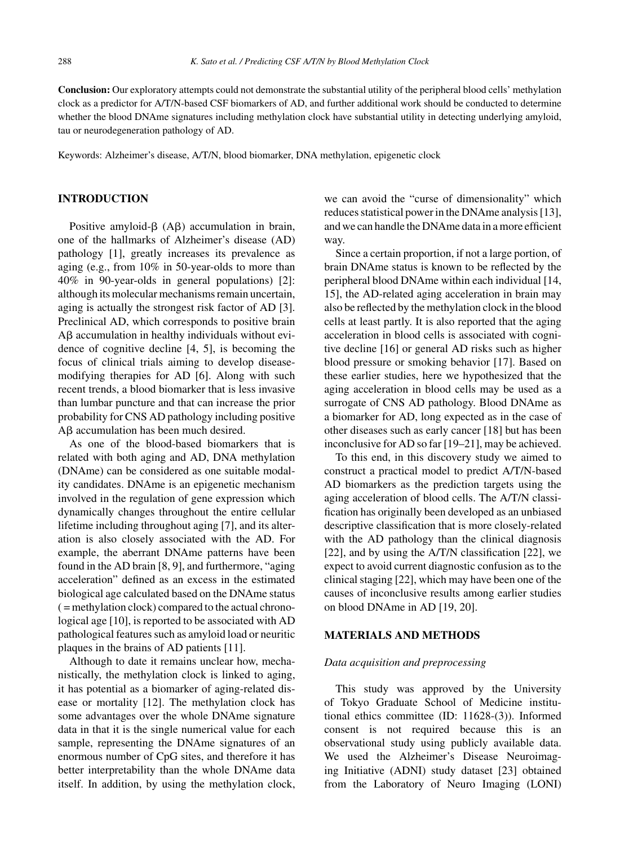**Conclusion:** Our exploratory attempts could not demonstrate the substantial utility of the peripheral blood cells' methylation clock as a predictor for A/T/N-based CSF biomarkers of AD, and further additional work should be conducted to determine whether the blood DNAme signatures including methylation clock have substantial utility in detecting underlying amyloid, tau or neurodegeneration pathology of AD.

Keywords: Alzheimer's disease, A/T/N, blood biomarker, DNA methylation, epigenetic clock

# **INTRODUCTION**

Positive amyloid- $\beta$  (A $\beta$ ) accumulation in brain, one of the hallmarks of Alzheimer's disease (AD) pathology [1], greatly increases its prevalence as aging (e.g., from 10% in 50-year-olds to more than 40% in 90-year-olds in general populations) [2]: although its molecular mechanisms remain uncertain, aging is actually the strongest risk factor of AD [3]. Preclinical AD, which corresponds to positive brain  $\text{A}\beta$  accumulation in healthy individuals without evidence of cognitive decline [4, 5], is becoming the focus of clinical trials aiming to develop diseasemodifying therapies for AD [6]. Along with such recent trends, a blood biomarker that is less invasive than lumbar puncture and that can increase the prior probability for CNS AD pathology including positive  $A\beta$  accumulation has been much desired.

As one of the blood-based biomarkers that is related with both aging and AD, DNA methylation (DNAme) can be considered as one suitable modality candidates. DNAme is an epigenetic mechanism involved in the regulation of gene expression which dynamically changes throughout the entire cellular lifetime including throughout aging [7], and its alteration is also closely associated with the AD. For example, the aberrant DNAme patterns have been found in the AD brain [8, 9], and furthermore, "aging acceleration" defined as an excess in the estimated biological age calculated based on the DNAme status  $($  = methylation clock) compared to the actual chronological age [10], is reported to be associated with AD pathological features such as amyloid load or neuritic plaques in the brains of AD patients [11].

Although to date it remains unclear how, mechanistically, the methylation clock is linked to aging, it has potential as a biomarker of aging-related disease or mortality [12]. The methylation clock has some advantages over the whole DNAme signature data in that it is the single numerical value for each sample, representing the DNAme signatures of an enormous number of CpG sites, and therefore it has better interpretability than the whole DNAme data itself. In addition, by using the methylation clock,

we can avoid the "curse of dimensionality" which reduces statistical power in the DNAme analysis [13], and we can handle the DNAme data in a more efficient way.

Since a certain proportion, if not a large portion, of brain DNAme status is known to be reflected by the peripheral blood DNAme within each individual [14, 15], the AD-related aging acceleration in brain may also be reflected by the methylation clock in the blood cells at least partly. It is also reported that the aging acceleration in blood cells is associated with cognitive decline [16] or general AD risks such as higher blood pressure or smoking behavior [17]. Based on these earlier studies, here we hypothesized that the aging acceleration in blood cells may be used as a surrogate of CNS AD pathology. Blood DNAme as a biomarker for AD, long expected as in the case of other diseases such as early cancer [18] but has been inconclusive for AD so far [19–21], may be achieved.

To this end, in this discovery study we aimed to construct a practical model to predict A/T/N-based AD biomarkers as the prediction targets using the aging acceleration of blood cells. The A/T/N classification has originally been developed as an unbiased descriptive classification that is more closely-related with the AD pathology than the clinical diagnosis [22], and by using the A/T/N classification [22], we expect to avoid current diagnostic confusion as to the clinical staging [22], which may have been one of the causes of inconclusive results among earlier studies on blood DNAme in AD [19, 20].

#### **MATERIALS AND METHODS**

#### *Data acquisition and preprocessing*

This study was approved by the University of Tokyo Graduate School of Medicine institutional ethics committee (ID: 11628-(3)). Informed consent is not required because this is an observational study using publicly available data. We used the Alzheimer's Disease Neuroimaging Initiative (ADNI) study dataset [23] obtained from the Laboratory of Neuro Imaging (LONI)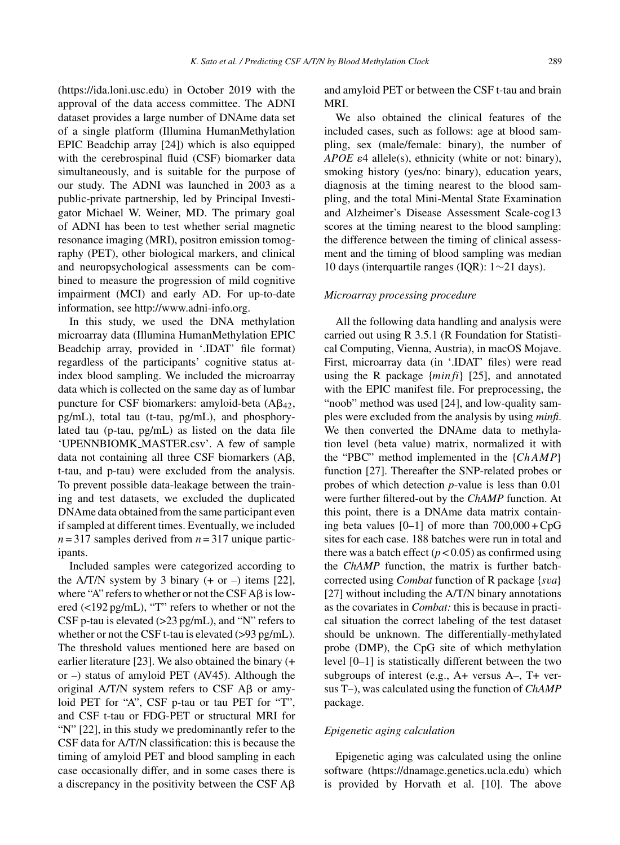[\(https://ida.loni.usc.edu\)](https://ida.loni.usc.edu) in October 2019 with the approval of the data access committee. The ADNI dataset provides a large number of DNAme data set of a single platform (Illumina HumanMethylation EPIC Beadchip array [24]) which is also equipped with the cerebrospinal fluid (CSF) biomarker data simultaneously, and is suitable for the purpose of our study. The ADNI was launched in 2003 as a public-private partnership, led by Principal Investigator Michael W. Weiner, MD. The primary goal of ADNI has been to test whether serial magnetic resonance imaging (MRI), positron emission tomography (PET), other biological markers, and clinical and neuropsychological assessments can be combined to measure the progression of mild cognitive impairment (MCI) and early AD. For up-to-date information, see [http://www.adni-info.org.](http://www.adni-info.org)

In this study, we used the DNA methylation microarray data (Illumina HumanMethylation EPIC Beadchip array, provided in '.IDAT' file format) regardless of the participants' cognitive status atindex blood sampling. We included the microarray data which is collected on the same day as of lumbar puncture for CSF biomarkers: amyloid-beta  $(A\beta_{42},$ pg/mL), total tau (t-tau, pg/mL), and phosphorylated tau (p-tau, pg/mL) as listed on the data file 'UPENNBIOMK MASTER.csv'. A few of sample data not containing all three CSF biomarkers  $(A\beta,$ t-tau, and p-tau) were excluded from the analysis. To prevent possible data-leakage between the training and test datasets, we excluded the duplicated DNAme data obtained from the same participant even if sampled at different times. Eventually, we included  $n = 317$  samples derived from  $n = 317$  unique participants.

Included samples were categorized according to the A/T/N system by 3 binary  $(+ or -)$  items [22], where "A" refers to whether or not the CSF  $\mathsf{A}\beta$  is lowered (<192 pg/mL), "T" refers to whether or not the CSF p-tau is elevated  $(>23 \text{ pg/mL})$ , and "N" refers to whether or not the CSF t-tau is elevated (>93 pg/mL). The threshold values mentioned here are based on earlier literature [23]. We also obtained the binary (+ or –) status of amyloid PET (AV45). Although the original A/T/N system refers to CSF A $\beta$  or amyloid PET for "A", CSF p-tau or tau PET for "T", and CSF t-tau or FDG-PET or structural MRI for "N" [22], in this study we predominantly refer to the CSF data for A/T/N classification: this is because the timing of amyloid PET and blood sampling in each case occasionally differ, and in some cases there is a discrepancy in the positivity between the CSF  $A\beta$ 

and amyloid PET or between the CSF t-tau and brain MRI.

We also obtained the clinical features of the included cases, such as follows: age at blood sampling, sex (male/female: binary), the number of *APOE*  $\varepsilon$ 4 allele(s), ethnicity (white or not: binary), smoking history (yes/no: binary), education years, diagnosis at the timing nearest to the blood sampling, and the total Mini-Mental State Examination and Alzheimer's Disease Assessment Scale-cog13 scores at the timing nearest to the blood sampling: the difference between the timing of clinical assessment and the timing of blood sampling was median 10 days (interquartile ranges (IQR): 1∼21 days).

# *Microarray processing procedure*

All the following data handling and analysis were carried out using R 3.5.1 (R Foundation for Statistical Computing, Vienna, Austria), in macOS Mojave. First, microarray data (in '.IDAT' files) were read using the R package  $\{minfi\}$  [25], and annotated with the EPIC manifest file. For preprocessing, the "noob" method was used [24], and low-quality samples were excluded from the analysis by using *minfi*. We then converted the DNAme data to methylation level (beta value) matrix, normalized it with the "PBC" method implemented in the  $\{ChAMP\}$ function [27]. Thereafter the SNP-related probes or probes of which detection *p*-value is less than 0.01 were further filtered-out by the *ChAMP* function. At this point, there is a DNAme data matrix containing beta values  $[0-1]$  of more than  $700,000 + CpG$ sites for each case. 188 batches were run in total and there was a batch effect  $(p < 0.05)$  as confirmed using the *ChAMP* function, the matrix is further batchcorrected using *Combat* function of R package {sva} [27] without including the A/T/N binary annotations as the covariates in *Combat:* this is because in practical situation the correct labeling of the test dataset should be unknown. The differentially-methylated probe (DMP), the CpG site of which methylation level [0–1] is statistically different between the two subgroups of interest (e.g., A+ versus A–, T+ versus T–), was calculated using the function of *ChAMP* package.

# *Epigenetic aging calculation*

Epigenetic aging was calculated using the online software (<https://dnamage.genetics.ucla.edu>) which is provided by Horvath et al. [10]. The above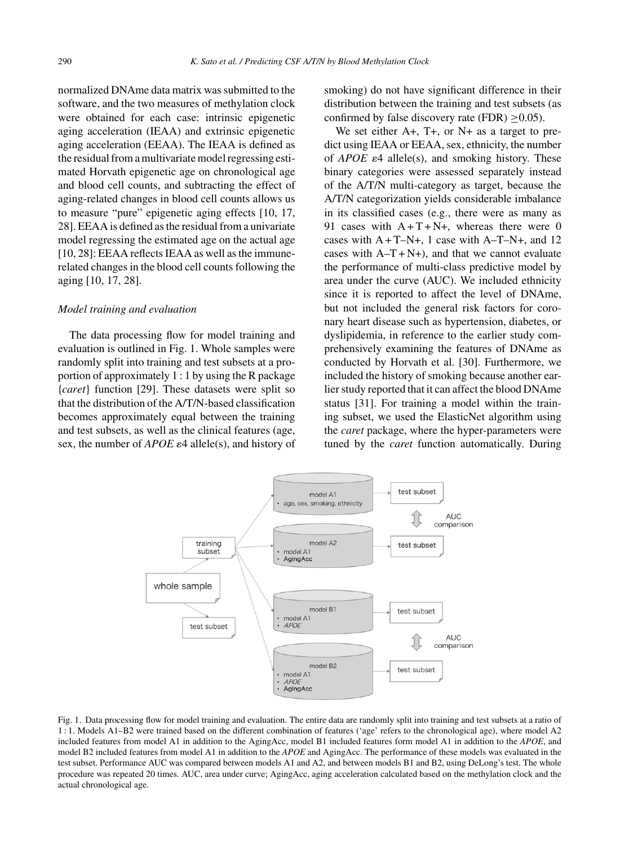normalized DNAme data matrix was submitted to the software, and the two measures of methylation clock were obtained for each case: intrinsic epigenetic aging acceleration (IEAA) and extrinsic epigenetic aging acceleration (EEAA). The IEAA is defined as the residual from a multivariate model regressing estimated Horvath epigenetic age on chronological age and blood cell counts, and subtracting the effect of aging-related changes in blood cell counts allows us to measure "pure" epigenetic aging effects [10, 17, 28]. EEAA is defined as the residual from a univariate model regressing the estimated age on the actual age [10, 28]: EEAA reflects IEAA as well as the immunerelated changes in the blood cell counts following the aging [10, 17, 28].

#### *Model training and evaluation*

The data processing flow for model training and evaluation is outlined in Fig. 1. Whole samples were randomly split into training and test subsets at a proportion of approximately 1 : 1 by using the R package {caret} function [29]. These datasets were split so that the distribution of the A/T/N-based classification becomes approximately equal between the training and test subsets, as well as the clinical features (age, sex, the number of  $APOE \varepsilon_4$  allele(s), and history of smoking) do not have significant difference in their distribution between the training and test subsets (as confirmed by false discovery rate  $(FDR) > 0.05$ .

We set either A+, T+, or N+ as a target to predict using IEAA or EEAA, sex, ethnicity, the number of  $APOE$   $\varepsilon$ 4 allele(s), and smoking history. These binary categories were assessed separately instead of the A/T/N multi-category as target, because the A/T/N categorization yields considerable imbalance in its classified cases (e.g., there were as many as 91 cases with  $A + T + N +$ , whereas there were 0 cases with  $A + T-N+$ , 1 case with  $A - T-N+$ , and 12 cases with  $A-T + N+$ ), and that we cannot evaluate the performance of multi-class predictive model by area under the curve (AUC). We included ethnicity since it is reported to affect the level of DNAme, but not included the general risk factors for coronary heart disease such as hypertension, diabetes, or dyslipidemia, in reference to the earlier study comprehensively examining the features of DNAme as conducted by Horvath et al. [30]. Furthermore, we included the history of smoking because another earlier study reported that it can affect the blood DNAme status [31]. For training a model within the training subset, we used the ElasticNet algorithm using the *caret* package, where the hyper-parameters were tuned by the *caret* function automatically. During



Fig. 1. Data processing flow for model training and evaluation. The entire data are randomly split into training and test subsets at a ratio of 1 : 1. Models A1–B2 were trained based on the different combination of features ('age' refers to the chronological age), where model A2 included features from model A1 in addition to the AgingAcc, model B1 included features form model A1 in addition to the *APOE*, and model B2 included features from model A1 in addition to the *APOE* and AgingAcc. The performance of these models was evaluated in the test subset. Performance AUC was compared between models A1 and A2, and between models B1 and B2, using DeLong's test. The whole procedure was repeated 20 times. AUC, area under curve; AgingAcc, aging acceleration calculated based on the methylation clock and the actual chronological age.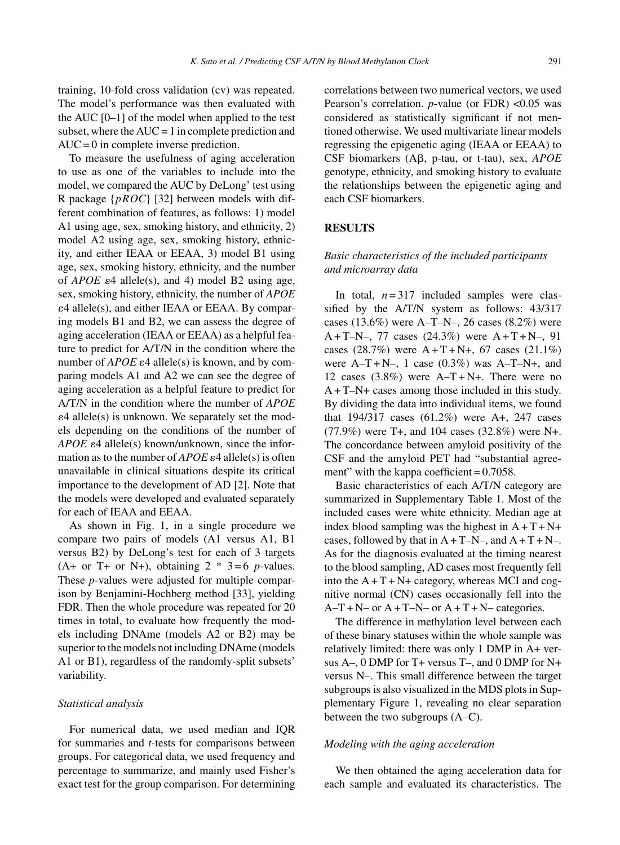training, 10-fold cross validation (cv) was repeated. The model's performance was then evaluated with the AUC [0–1] of the model when applied to the test subset, where the  $AUC = 1$  in complete prediction and AUC = 0 in complete inverse prediction.

To measure the usefulness of aging acceleration to use as one of the variables to include into the model, we compared the AUC by DeLong' test using R package  $\{pROC\}$  [32] between models with different combination of features, as follows: 1) model A1 using age, sex, smoking history, and ethnicity, 2) model A2 using age, sex, smoking history, ethnicity, and either IEAA or EEAA, 3) model B1 using age, sex, smoking history, ethnicity, and the number of  $APOE$   $\varepsilon$ 4 allele(s), and 4) model B2 using age, sex, smoking history, ethnicity, the number of *APOE* 4 allele(s), and either IEAA or EEAA. By comparing models B1 and B2, we can assess the degree of aging acceleration (IEAA or EEAA) as a helpful feature to predict for A/T/N in the condition where the number of  $APOE \varepsilon_4$  allele(s) is known, and by comparing models A1 and A2 we can see the degree of aging acceleration as a helpful feature to predict for A/T/N in the condition where the number of *APOE*  $\varepsilon$ 4 allele(s) is unknown. We separately set the models depending on the conditions of the number of  $APOE \varepsilon_4$  allele(s) known/unknown, since the information as to the number of  $APOE \varepsilon_4$  allele(s) is often unavailable in clinical situations despite its critical importance to the development of AD [2]. Note that the models were developed and evaluated separately for each of IEAA and EEAA.

As shown in Fig. 1, in a single procedure we compare two pairs of models (A1 versus A1, B1 versus B2) by DeLong's test for each of 3 targets (A+ or T+ or N+), obtaining  $2 * 3 = 6$  *p*-values. These *p*-values were adjusted for multiple comparison by Benjamini-Hochberg method [33], yielding FDR. Then the whole procedure was repeated for 20 times in total, to evaluate how frequently the models including DNAme (models A2 or B2) may be superior to the models not including DNAme (models A1 or B1), regardless of the randomly-split subsets' variability.

#### *Statistical analysis*

For numerical data, we used median and IQR for summaries and *t*-tests for comparisons between groups. For categorical data, we used frequency and percentage to summarize, and mainly used Fisher's exact test for the group comparison. For determining correlations between two numerical vectors, we used Pearson's correlation. *p*-value (or FDR) <0.05 was considered as statistically significant if not mentioned otherwise. We used multivariate linear models regressing the epigenetic aging (IEAA or EEAA) to CSF biomarkers (Aβ, p-tau, or t-tau), sex, *APOE* genotype, ethnicity, and smoking history to evaluate the relationships between the epigenetic aging and each CSF biomarkers.

# **RESULTS**

# *Basic characteristics of the included participants and microarray data*

In total,  $n = 317$  included samples were classified by the A/T/N system as follows: 43/317 cases (13.6%) were A–T–N–, 26 cases (8.2%) were  $A + T-N$ –, 77 cases (24.3%) were  $A + T + N$ –, 91 cases (28.7%) were  $A + T + N +$ , 67 cases (21.1%) were  $A-T + N-$ , 1 case  $(0.3%)$  was  $A-T-N+$ , and 12 cases  $(3.8\%)$  were A–T+N+. There were no A + T–N+ cases among those included in this study. By dividing the data into individual items, we found that 194/317 cases (61.2%) were A+, 247 cases (77.9%) were T+, and 104 cases (32.8%) were N+. The concordance between amyloid positivity of the CSF and the amyloid PET had "substantial agreement" with the kappa coefficient  $= 0.7058$ .

Basic characteristics of each A/T/N category are summarized in Supplementary Table 1. Most of the included cases were white ethnicity. Median age at index blood sampling was the highest in  $A + T + N+$ cases, followed by that in  $A + T-N$ –, and  $A + T + N$ –. As for the diagnosis evaluated at the timing nearest to the blood sampling, AD cases most frequently fell into the  $A + T + N +$  category, whereas MCI and cognitive normal (CN) cases occasionally fell into the  $A-T + N$ – or  $A + T-N$ – or  $A + T + N$ – categories.

The difference in methylation level between each of these binary statuses within the whole sample was relatively limited: there was only 1 DMP in A+ versus A–, 0 DMP for T+ versus T–, and 0 DMP for N+ versus N–. This small difference between the target subgroups is also visualized in the MDS plots in Supplementary Figure 1, revealing no clear separation between the two subgroups (A–C).

# *Modeling with the aging acceleration*

We then obtained the aging acceleration data for each sample and evaluated its characteristics. The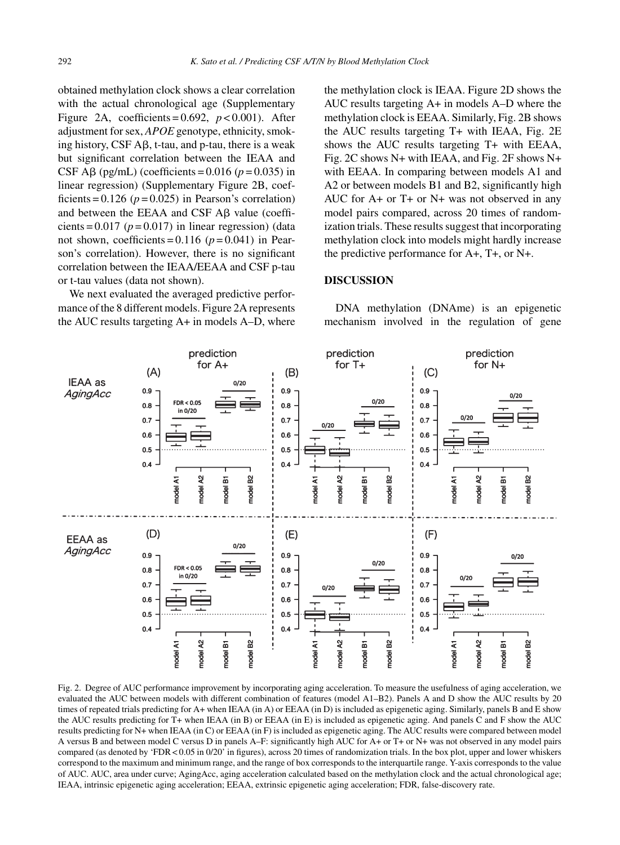obtained methylation clock shows a clear correlation with the actual chronological age (Supplementary Figure 2A, coefficients =  $0.692$ ,  $p < 0.001$ ). After adjustment for sex, *APOE* genotype, ethnicity, smoking history, CSF  $\mathsf{A}\beta$ , t-tau, and p-tau, there is a weak but significant correlation between the IEAA and CSF A $\beta$  (pg/mL) (coefficients = 0.016 ( $p = 0.035$ ) in linear regression) (Supplementary Figure 2B, coefficients =  $0.126$  ( $p = 0.025$ ) in Pearson's correlation) and between the EEAA and CSF  $\text{A}\beta$  value (coefficients =  $0.017$  ( $p = 0.017$ ) in linear regression) (data not shown, coefficients =  $0.116$  ( $p = 0.041$ ) in Pearson's correlation). However, there is no significant correlation between the IEAA/EEAA and CSF p-tau or t-tau values (data not shown).

We next evaluated the averaged predictive performance of the 8 different models. Figure 2A represents the AUC results targeting A+ in models A–D, where the methylation clock is IEAA. Figure 2D shows the AUC results targeting A+ in models A–D where the methylation clock is EEAA. Similarly, Fig. 2B shows the AUC results targeting T+ with IEAA, Fig. 2E shows the AUC results targeting T+ with EEAA, Fig. 2C shows N+ with IEAA, and Fig. 2F shows N+ with EEAA. In comparing between models A1 and A2 or between models B1 and B2, significantly high AUC for A+ or T+ or N+ was not observed in any model pairs compared, across 20 times of randomization trials. These results suggest that incorporating methylation clock into models might hardly increase the predictive performance for A+, T+, or N+.

#### **DISCUSSION**

DNA methylation (DNAme) is an epigenetic mechanism involved in the regulation of gene



Fig. 2. Degree of AUC performance improvement by incorporating aging acceleration. To measure the usefulness of aging acceleration, we evaluated the AUC between models with different combination of features (model A1–B2). Panels A and D show the AUC results by 20 times of repeated trials predicting for A+ when IEAA (in A) or EEAA (in D) is included as epigenetic aging. Similarly, panels B and E show the AUC results predicting for T+ when IEAA (in B) or EEAA (in E) is included as epigenetic aging. And panels C and F show the AUC results predicting for N+ when IEAA (in C) or EEAA (in F) is included as epigenetic aging. The AUC results were compared between model A versus B and between model C versus D in panels A–F: significantly high AUC for A+ or T+ or N+ was not observed in any model pairs compared (as denoted by 'FDR < 0.05 in 0/20' in figures), across 20 times of randomization trials. In the box plot, upper and lower whiskers correspond to the maximum and minimum range, and the range of box corresponds to the interquartile range. Y-axis corresponds to the value of AUC. AUC, area under curve; AgingAcc, aging acceleration calculated based on the methylation clock and the actual chronological age; IEAA, intrinsic epigenetic aging acceleration; EEAA, extrinsic epigenetic aging acceleration; FDR, false-discovery rate.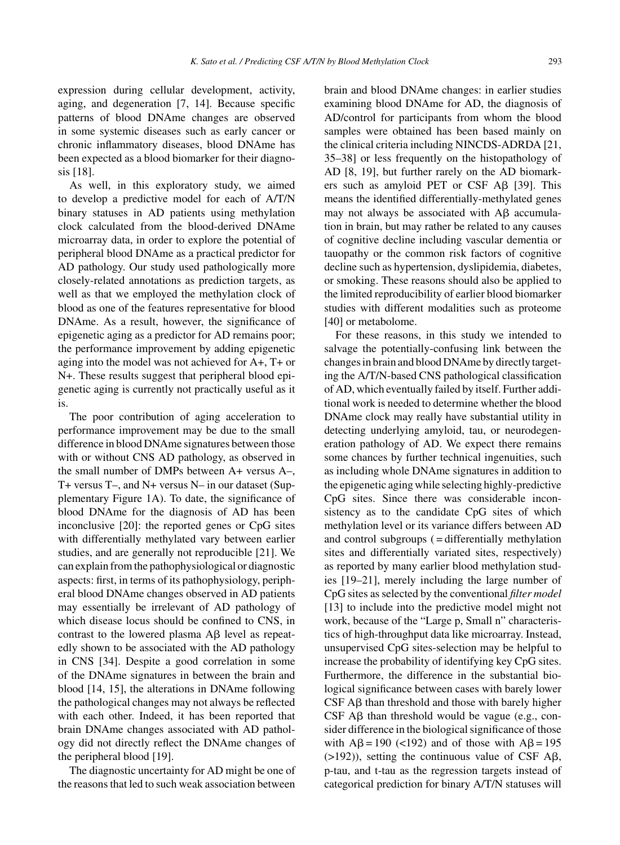expression during cellular development, activity, aging, and degeneration [7, 14]. Because specific patterns of blood DNAme changes are observed in some systemic diseases such as early cancer or chronic inflammatory diseases, blood DNAme has been expected as a blood biomarker for their diagnosis [18].

As well, in this exploratory study, we aimed to develop a predictive model for each of A/T/N binary statuses in AD patients using methylation clock calculated from the blood-derived DNAme microarray data, in order to explore the potential of peripheral blood DNAme as a practical predictor for AD pathology. Our study used pathologically more closely-related annotations as prediction targets, as well as that we employed the methylation clock of blood as one of the features representative for blood DNAme. As a result, however, the significance of epigenetic aging as a predictor for AD remains poor; the performance improvement by adding epigenetic aging into the model was not achieved for A+, T+ or N+. These results suggest that peripheral blood epigenetic aging is currently not practically useful as it is.

The poor contribution of aging acceleration to performance improvement may be due to the small difference in blood DNAme signatures between those with or without CNS AD pathology, as observed in the small number of DMPs between A+ versus A–, T+ versus T–, and N+ versus N– in our dataset (Supplementary Figure 1A). To date, the significance of blood DNAme for the diagnosis of AD has been inconclusive [20]: the reported genes or CpG sites with differentially methylated vary between earlier studies, and are generally not reproducible [21]. We can explain from the pathophysiological or diagnostic aspects: first, in terms of its pathophysiology, peripheral blood DNAme changes observed in AD patients may essentially be irrelevant of AD pathology of which disease locus should be confined to CNS, in contrast to the lowered plasma  $\text{A}\beta$  level as repeatedly shown to be associated with the AD pathology in CNS [34]. Despite a good correlation in some of the DNAme signatures in between the brain and blood [14, 15], the alterations in DNAme following the pathological changes may not always be reflected with each other. Indeed, it has been reported that brain DNAme changes associated with AD pathology did not directly reflect the DNAme changes of the peripheral blood [19].

The diagnostic uncertainty for AD might be one of the reasons that led to such weak association between

brain and blood DNAme changes: in earlier studies examining blood DNAme for AD, the diagnosis of AD/control for participants from whom the blood samples were obtained has been based mainly on the clinical criteria including NINCDS-ADRDA [21, 35–38] or less frequently on the histopathology of AD [8, 19], but further rarely on the AD biomarkers such as amyloid PET or CSF  $\overline{AB}$  [39]. This means the identified differentially-methylated genes may not always be associated with  $A\beta$  accumulation in brain, but may rather be related to any causes of cognitive decline including vascular dementia or tauopathy or the common risk factors of cognitive decline such as hypertension, dyslipidemia, diabetes, or smoking. These reasons should also be applied to the limited reproducibility of earlier blood biomarker studies with different modalities such as proteome [40] or metabolome.

For these reasons, in this study we intended to salvage the potentially-confusing link between the changes in brain and blood DNAme by directly targeting the A/T/N-based CNS pathological classification of AD, which eventually failed by itself. Further additional work is needed to determine whether the blood DNAme clock may really have substantial utility in detecting underlying amyloid, tau, or neurodegeneration pathology of AD. We expect there remains some chances by further technical ingenuities, such as including whole DNAme signatures in addition to the epigenetic aging while selecting highly-predictive CpG sites. Since there was considerable inconsistency as to the candidate CpG sites of which methylation level or its variance differs between AD and control subgroups ( = differentially methylation sites and differentially variated sites, respectively) as reported by many earlier blood methylation studies [19–21], merely including the large number of CpG sites as selected by the conventional *filter model* [13] to include into the predictive model might not work, because of the "Large p, Small n" characteristics of high-throughput data like microarray. Instead, unsupervised CpG sites-selection may be helpful to increase the probability of identifying key CpG sites. Furthermore, the difference in the substantial biological significance between cases with barely lower  $CSF$  A $\beta$  than threshold and those with barely higher  $CSF$  A $\beta$  than threshold would be vague (e.g., consider difference in the biological significance of those with  $\text{A}\beta = 190$  (<192) and of those with  $\text{A}\beta = 195$  $(>192)$ ), setting the continuous value of CSF A $\beta$ , p-tau, and t-tau as the regression targets instead of categorical prediction for binary A/T/N statuses will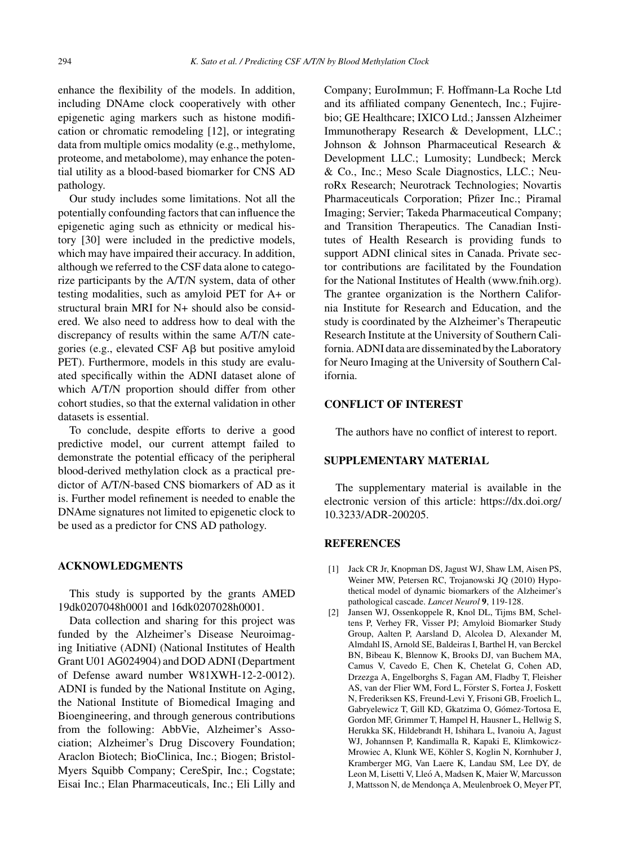enhance the flexibility of the models. In addition, including DNAme clock cooperatively with other epigenetic aging markers such as histone modification or chromatic remodeling [12], or integrating data from multiple omics modality (e.g., methylome, proteome, and metabolome), may enhance the potential utility as a blood-based biomarker for CNS AD pathology.

Our study includes some limitations. Not all the potentially confounding factors that can influence the epigenetic aging such as ethnicity or medical history [30] were included in the predictive models, which may have impaired their accuracy. In addition, although we referred to the CSF data alone to categorize participants by the A/T/N system, data of other testing modalities, such as amyloid PET for A+ or structural brain MRI for N+ should also be considered. We also need to address how to deal with the discrepancy of results within the same A/T/N categories (e.g., elevated CSF Aß but positive amyloid PET). Furthermore, models in this study are evaluated specifically within the ADNI dataset alone of which A/T/N proportion should differ from other cohort studies, so that the external validation in other datasets is essential.

To conclude, despite efforts to derive a good predictive model, our current attempt failed to demonstrate the potential efficacy of the peripheral blood-derived methylation clock as a practical predictor of A/T/N-based CNS biomarkers of AD as it is. Further model refinement is needed to enable the DNAme signatures not limited to epigenetic clock to be used as a predictor for CNS AD pathology.

# **ACKNOWLEDGMENTS**

This study is supported by the grants AMED 19dk0207048h0001 and 16dk0207028h0001.

Data collection and sharing for this project was funded by the Alzheimer's Disease Neuroimaging Initiative (ADNI) (National Institutes of Health Grant U01 AG024904) and DOD ADNI (Department of Defense award number W81XWH-12-2-0012). ADNI is funded by the National Institute on Aging, the National Institute of Biomedical Imaging and Bioengineering, and through generous contributions from the following: AbbVie, Alzheimer's Association; Alzheimer's Drug Discovery Foundation; Araclon Biotech; BioClinica, Inc.; Biogen; Bristol-Myers Squibb Company; CereSpir, Inc.; Cogstate; Eisai Inc.; Elan Pharmaceuticals, Inc.; Eli Lilly and

Company; EuroImmun; F. Hoffmann-La Roche Ltd and its affiliated company Genentech, Inc.; Fujirebio; GE Healthcare; IXICO Ltd.; Janssen Alzheimer Immunotherapy Research & Development, LLC.; Johnson & Johnson Pharmaceutical Research & Development LLC.; Lumosity; Lundbeck; Merck & Co., Inc.; Meso Scale Diagnostics, LLC.; NeuroRx Research; Neurotrack Technologies; Novartis Pharmaceuticals Corporation; Pfizer Inc.; Piramal Imaging; Servier; Takeda Pharmaceutical Company; and Transition Therapeutics. The Canadian Institutes of Health Research is providing funds to support ADNI clinical sites in Canada. Private sector contributions are facilitated by the Foundation for the National Institutes of Health (www.fnih.org). The grantee organization is the Northern California Institute for Research and Education, and the study is coordinated by the Alzheimer's Therapeutic Research Institute at the University of Southern California. ADNI data are disseminated by the Laboratory for Neuro Imaging at the University of Southern California.

### **CONFLICT OF INTEREST**

The authors have no conflict of interest to report.

#### **SUPPLEMENTARY MATERIAL**

The supplementary material is available in the electronic version of this article: [https://dx.doi.org/](https://dx.doi.org/10.3233/ADR-200205) [10.3233/ADR-200205](https://dx.doi.org/10.3233/ADR-200205).

# **REFERENCES**

- [1] Jack CR Jr, Knopman DS, Jagust WJ, Shaw LM, Aisen PS, Weiner MW, Petersen RC, Trojanowski JQ (2010) Hypothetical model of dynamic biomarkers of the Alzheimer's pathological cascade. *Lancet Neurol* **9**, 119-128.
- [2] Jansen WJ, Ossenkoppele R, Knol DL, Tijms BM, Scheltens P, Verhey FR, Visser PJ; Amyloid Biomarker Study Group, Aalten P, Aarsland D, Alcolea D, Alexander M, Almdahl IS, Arnold SE, Baldeiras I, Barthel H, van Berckel BN, Bibeau K, Blennow K, Brooks DJ, van Buchem MA, Camus V, Cavedo E, Chen K, Chetelat G, Cohen AD, Drzezga A, Engelborghs S, Fagan AM, Fladby T, Fleisher AS, van der Flier WM, Ford L, Förster S, Fortea J, Foskett N, Frederiksen KS, Freund-Levi Y, Frisoni GB, Froelich L, Gabryelewicz T, Gill KD, Gkatzima O, Gómez-Tortosa E, Gordon MF, Grimmer T, Hampel H, Hausner L, Hellwig S, Herukka SK, Hildebrandt H, Ishihara L, Ivanoiu A, Jagust WJ, Johannsen P, Kandimalla R, Kapaki E, Klimkowicz-Mrowiec A, Klunk WE, Köhler S, Koglin N, Kornhuber J, Kramberger MG, Van Laere K, Landau SM, Lee DY, de Leon M, Lisetti V, Lleó A, Madsen K, Maier W, Marcusson J, Mattsson N, de Mendonça A, Meulenbroek O, Meyer PT,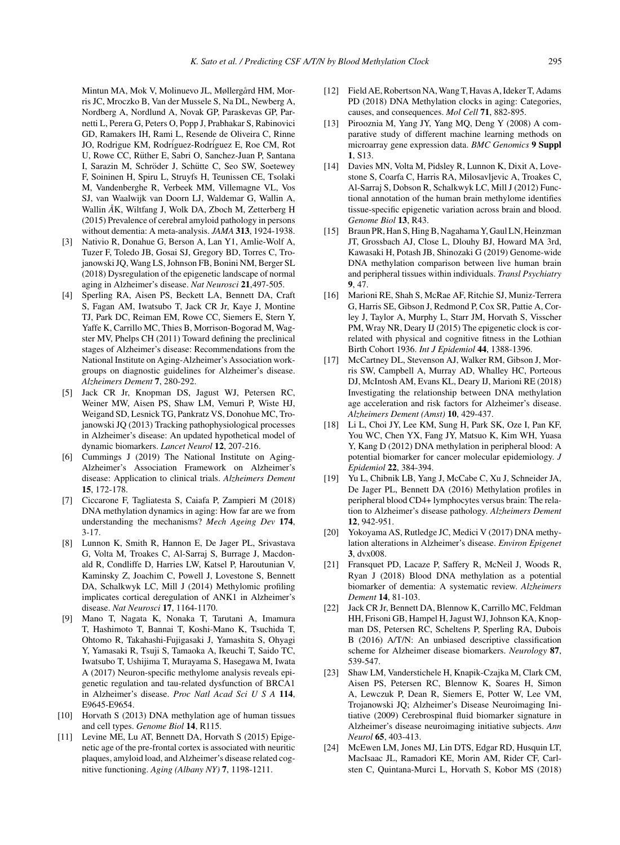Mintun MA, Mok V, Molinuevo JL, Møllergård HM, Morris JC, Mroczko B, Van der Mussele S, Na DL, Newberg A, Nordberg A, Nordlund A, Novak GP, Paraskevas GP, Parnetti L, Perera G, Peters O, Popp J, Prabhakar S, Rabinovici GD, Ramakers IH, Rami L, Resende de Oliveira C, Rinne JO, Rodrigue KM, Rodríguez-Rodríguez E, Roe CM, Rot U, Rowe CC, Ruther E, Sabri O, Sanchez-Juan P, Santana ¨ I, Sarazin M, Schröder J, Schütte C, Seo SW, Soetewey F, Soininen H, Spiru L, Struyfs H, Teunissen CE, Tsolaki M, Vandenberghe R, Verbeek MM, Villemagne VL, Vos SJ, van Waalwijk van Doorn LJ, Waldemar G, Wallin A, Wallin *A˚*K, Wiltfang J, Wolk DA, Zboch M, Zetterberg H (2015) Prevalence of cerebral amyloid pathology in persons without dementia: A meta-analysis. *JAMA* **313**, 1924-1938.

- [3] Nativio R, Donahue G, Berson A, Lan Y1, Amlie-Wolf A, Tuzer F, Toledo JB, Gosai SJ, Gregory BD, Torres C, Trojanowski JQ, Wang LS, Johnson FB, Bonini NM, Berger SL (2018) Dysregulation of the epigenetic landscape of normal aging in Alzheimer's disease. *Nat Neurosci* **21**,497-505.
- [4] Sperling RA, Aisen PS, Beckett LA, Bennett DA, Craft S, Fagan AM, Iwatsubo T, Jack CR Jr, Kaye J, Montine TJ, Park DC, Reiman EM, Rowe CC, Siemers E, Stern Y, Yaffe K, Carrillo MC, Thies B, Morrison-Bogorad M, Wagster MV, Phelps CH (2011) Toward defining the preclinical stages of Alzheimer's disease: Recommendations from the National Institute on Aging-Alzheimer's Association workgroups on diagnostic guidelines for Alzheimer's disease. *Alzheimers Dement* **7**, 280-292.
- [5] Jack CR Jr, Knopman DS, Jagust WJ, Petersen RC, Weiner MW, Aisen PS, Shaw LM, Vemuri P, Wiste HJ, Weigand SD, Lesnick TG, Pankratz VS, Donohue MC, Trojanowski JQ (2013) Tracking pathophysiological processes in Alzheimer's disease: An updated hypothetical model of dynamic biomarkers. *Lancet Neurol* **12**, 207-216.
- [6] Cummings J (2019) The National Institute on Aging-Alzheimer's Association Framework on Alzheimer's disease: Application to clinical trials. *Alzheimers Dement* **15**, 172-178.
- [7] Ciccarone F, Tagliatesta S, Caiafa P, Zampieri M (2018) DNA methylation dynamics in aging: How far are we from understanding the mechanisms? *Mech Ageing Dev* **174**, 3-17.
- [8] Lunnon K, Smith R, Hannon E, De Jager PL, Srivastava G, Volta M, Troakes C, Al-Sarraj S, Burrage J, Macdonald R, Condliffe D, Harries LW, Katsel P, Haroutunian V, Kaminsky Z, Joachim C, Powell J, Lovestone S, Bennett DA, Schalkwyk LC, Mill J (2014) Methylomic profiling implicates cortical deregulation of ANK1 in Alzheimer's disease. *Nat Neurosci* **17**, 1164-1170.
- [9] Mano T, Nagata K, Nonaka T, Tarutani A, Imamura T, Hashimoto T, Bannai T, Koshi-Mano K, Tsuchida T, Ohtomo R, Takahashi-Fujigasaki J, Yamashita S, Ohyagi Y, Yamasaki R, Tsuji S, Tamaoka A, Ikeuchi T, Saido TC, Iwatsubo T, Ushijima T, Murayama S, Hasegawa M, Iwata A (2017) Neuron-specific methylome analysis reveals epigenetic regulation and tau-related dysfunction of BRCA1 in Alzheimer's disease. *Proc Natl Acad Sci U S A* **114**, E9645-E9654.
- [10] Horvath S (2013) DNA methylation age of human tissues and cell types. *Genome Biol* **14**, R115.
- [11] Levine ME, Lu AT, Bennett DA, Horvath S (2015) Epigenetic age of the pre-frontal cortex is associated with neuritic plaques, amyloid load, and Alzheimer's disease related cognitive functioning. *Aging (Albany NY)* **7**, 1198-1211.
- [12] Field AE, Robertson NA, Wang T, Havas A, Ideker T, Adams PD (2018) DNA Methylation clocks in aging: Categories, causes, and consequences. *Mol Cell* **71**, 882-895.
- [13] Pirooznia M, Yang JY, Yang MQ, Deng Y (2008) A comparative study of different machine learning methods on microarray gene expression data. *BMC Genomics* **9 Suppl 1**, S13.
- [14] Davies MN, Volta M, Pidsley R, Lunnon K, Dixit A, Lovestone S, Coarfa C, Harris RA, Milosavljevic A, Troakes C, Al-Sarraj S, Dobson R, Schalkwyk LC, Mill J (2012) Functional annotation of the human brain methylome identifies tissue-specific epigenetic variation across brain and blood. *Genome Biol* **13**, R43.
- [15] Braun PR, Han S, Hing B, Nagahama Y, Gaul LN, Heinzman JT, Grossbach AJ, Close L, Dlouhy BJ, Howard MA 3rd, Kawasaki H, Potash JB, Shinozaki G (2019) Genome-wide DNA methylation comparison between live human brain and peripheral tissues within individuals. *Transl Psychiatry* **9**, 47.
- [16] Marioni RE, Shah S, McRae AF, Ritchie SJ, Muniz-Terrera G, Harris SE, Gibson J, Redmond P, Cox SR, Pattie A, Corley J, Taylor A, Murphy L, Starr JM, Horvath S, Visscher PM, Wray NR, Deary IJ (2015) The epigenetic clock is correlated with physical and cognitive fitness in the Lothian Birth Cohort 1936. *Int J Epidemiol* **44**, 1388-1396.
- [17] McCartney DL, Stevenson AJ, Walker RM, Gibson J, Morris SW, Campbell A, Murray AD, Whalley HC, Porteous DJ, McIntosh AM, Evans KL, Deary IJ, Marioni RE (2018) Investigating the relationship between DNA methylation age acceleration and risk factors for Alzheimer's disease. *Alzheimers Dement (Amst)* **10**, 429-437.
- [18] Li L, Choi JY, Lee KM, Sung H, Park SK, Oze I, Pan KF, You WC, Chen YX, Fang JY, Matsuo K, Kim WH, Yuasa Y, Kang D (2012) DNA methylation in peripheral blood: A potential biomarker for cancer molecular epidemiology. *J Epidemiol* **22**, 384-394.
- [19] Yu L, Chibnik LB, Yang J, McCabe C, Xu J, Schneider JA, De Jager PL, Bennett DA (2016) Methylation profiles in peripheral blood CD4+ lymphocytes versus brain: The relation to Alzheimer's disease pathology. *Alzheimers Dement* **12**, 942-951.
- [20] Yokoyama AS, Rutledge JC, Medici V (2017) DNA methylation alterations in Alzheimer's disease. *Environ Epigenet* **3**, dvx008.
- [21] Fransquet PD, Lacaze P, Saffery R, McNeil J, Woods R, Ryan J (2018) Blood DNA methylation as a potential biomarker of dementia: A systematic review. *Alzheimers Dement* **14**, 81-103.
- [22] Jack CR Jr, Bennett DA, Blennow K, Carrillo MC, Feldman HH, Frisoni GB, Hampel H, Jagust WJ, Johnson KA, Knopman DS, Petersen RC, Scheltens P, Sperling RA, Dubois B (2016) A/T/N: An unbiased descriptive classification scheme for Alzheimer disease biomarkers. *Neurology* **87**, 539-547.
- [23] Shaw LM, Vanderstichele H, Knapik-Czajka M, Clark CM, Aisen PS, Petersen RC, Blennow K, Soares H, Simon A, Lewczuk P, Dean R, Siemers E, Potter W, Lee VM, Trojanowski JQ; Alzheimer's Disease Neuroimaging Initiative (2009) Cerebrospinal fluid biomarker signature in Alzheimer's disease neuroimaging initiative subjects. *Ann Neurol* **65**, 403-413.
- [24] McEwen LM, Jones MJ, Lin DTS, Edgar RD, Husquin LT, MacIsaac JL, Ramadori KE, Morin AM, Rider CF, Carlsten C, Quintana-Murci L, Horvath S, Kobor MS (2018)